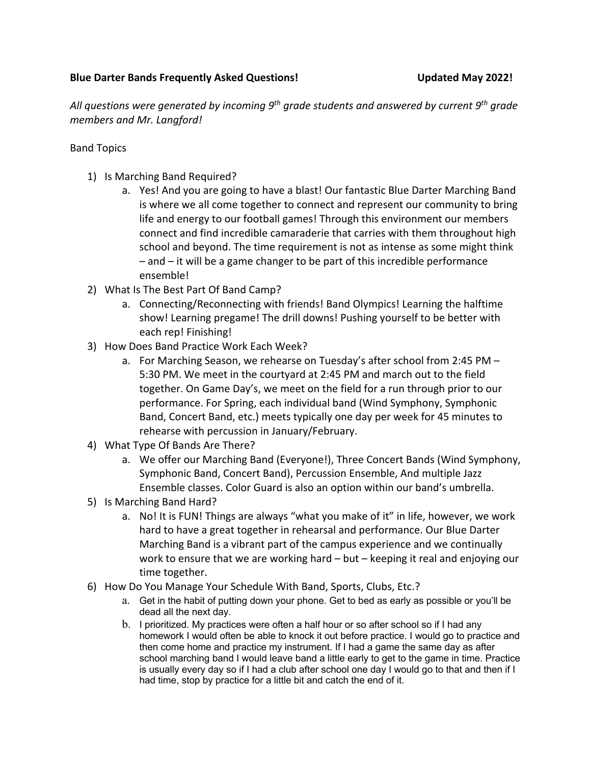# **Blue Darter Bands Frequently Asked Questions! Updated May 2022!**

*All questions were generated by incoming 9th grade students and answered by current 9th grade members and Mr. Langford!* 

## Band Topics

- 1) Is Marching Band Required?
	- a. Yes! And you are going to have a blast! Our fantastic Blue Darter Marching Band is where we all come together to connect and represent our community to bring life and energy to our football games! Through this environment our members connect and find incredible camaraderie that carries with them throughout high school and beyond. The time requirement is not as intense as some might think – and – it will be a game changer to be part of this incredible performance ensemble!
- 2) What Is The Best Part Of Band Camp?
	- a. Connecting/Reconnecting with friends! Band Olympics! Learning the halftime show! Learning pregame! The drill downs! Pushing yourself to be better with each rep! Finishing!
- 3) How Does Band Practice Work Each Week?
	- a. For Marching Season, we rehearse on Tuesday's after school from 2:45 PM 5:30 PM. We meet in the courtyard at 2:45 PM and march out to the field together. On Game Day's, we meet on the field for a run through prior to our performance. For Spring, each individual band (Wind Symphony, Symphonic Band, Concert Band, etc.) meets typically one day per week for 45 minutes to rehearse with percussion in January/February.
- 4) What Type Of Bands Are There?
	- a. We offer our Marching Band (Everyone!), Three Concert Bands (Wind Symphony, Symphonic Band, Concert Band), Percussion Ensemble, And multiple Jazz Ensemble classes. Color Guard is also an option within our band's umbrella.
- 5) Is Marching Band Hard?
	- a. No! It is FUN! Things are always "what you make of it" in life, however, we work hard to have a great together in rehearsal and performance. Our Blue Darter Marching Band is a vibrant part of the campus experience and we continually work to ensure that we are working hard – but – keeping it real and enjoying our time together.
- 6) How Do You Manage Your Schedule With Band, Sports, Clubs, Etc.?
	- a. Get in the habit of putting down your phone. Get to bed as early as possible or you'll be dead all the next day.
	- b. I prioritized. My practices were often a half hour or so after school so if I had any homework I would often be able to knock it out before practice. I would go to practice and then come home and practice my instrument. If I had a game the same day as after school marching band I would leave band a little early to get to the game in time. Practice is usually every day so if I had a club after school one day I would go to that and then if I had time, stop by practice for a little bit and catch the end of it.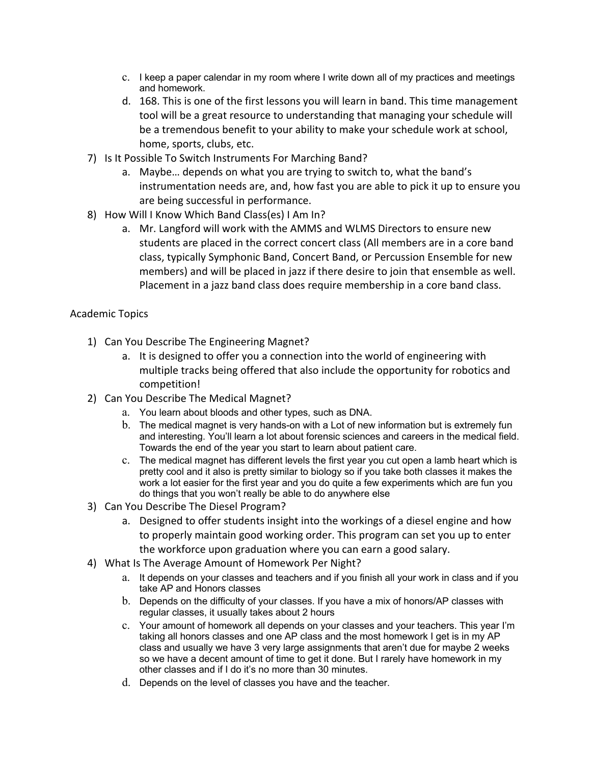- c. I keep a paper calendar in my room where I write down all of my practices and meetings and homework.
- d. 168. This is one of the first lessons you will learn in band. This time management tool will be a great resource to understanding that managing your schedule will be a tremendous benefit to your ability to make your schedule work at school, home, sports, clubs, etc.
- 7) Is It Possible To Switch Instruments For Marching Band?
	- a. Maybe… depends on what you are trying to switch to, what the band's instrumentation needs are, and, how fast you are able to pick it up to ensure you are being successful in performance.
- 8) How Will I Know Which Band Class(es) I Am In?
	- a. Mr. Langford will work with the AMMS and WLMS Directors to ensure new students are placed in the correct concert class (All members are in a core band class, typically Symphonic Band, Concert Band, or Percussion Ensemble for new members) and will be placed in jazz if there desire to join that ensemble as well. Placement in a jazz band class does require membership in a core band class.

## Academic Topics

- 1) Can You Describe The Engineering Magnet?
	- a. It is designed to offer you a connection into the world of engineering with multiple tracks being offered that also include the opportunity for robotics and competition!
- 2) Can You Describe The Medical Magnet?
	- a. You learn about bloods and other types, such as DNA.
	- b. The medical magnet is very hands-on with a Lot of new information but is extremely fun and interesting. You'll learn a lot about forensic sciences and careers in the medical field. Towards the end of the year you start to learn about patient care.
	- c. The medical magnet has different levels the first year you cut open a lamb heart which is pretty cool and it also is pretty similar to biology so if you take both classes it makes the work a lot easier for the first year and you do quite a few experiments which are fun you do things that you won't really be able to do anywhere else
- 3) Can You Describe The Diesel Program?
	- a. Designed to offer students insight into the workings of a diesel engine and how to properly maintain good working order. This program can set you up to enter the workforce upon graduation where you can earn a good salary.
- 4) What Is The Average Amount of Homework Per Night?
	- a. It depends on your classes and teachers and if you finish all your work in class and if you take AP and Honors classes
	- b. Depends on the difficulty of your classes. If you have a mix of honors/AP classes with regular classes, it usually takes about 2 hours
	- c. Your amount of homework all depends on your classes and your teachers. This year I'm taking all honors classes and one AP class and the most homework I get is in my AP class and usually we have 3 very large assignments that aren't due for maybe 2 weeks so we have a decent amount of time to get it done. But I rarely have homework in my other classes and if I do it's no more than 30 minutes.
	- d. Depends on the level of classes you have and the teacher.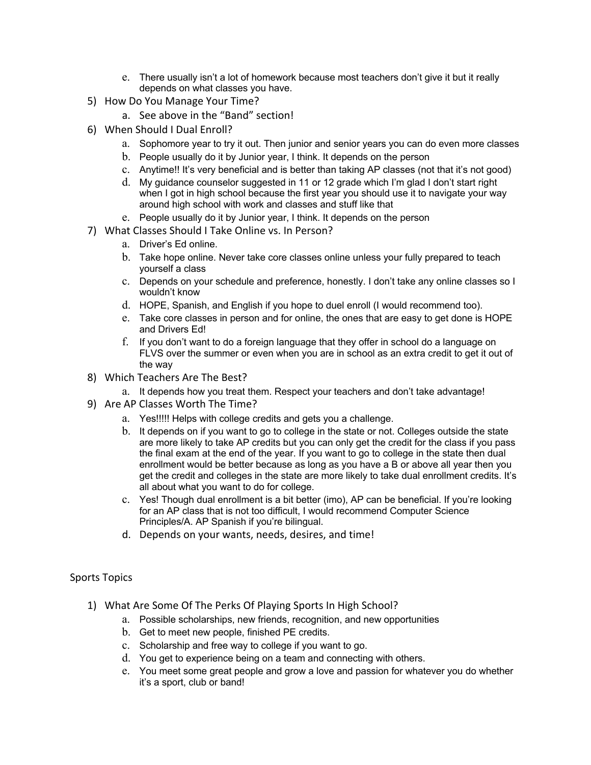- e. There usually isn't a lot of homework because most teachers don't give it but it really depends on what classes you have.
- 5) How Do You Manage Your Time?
	- a. See above in the "Band" section!
- 6) When Should I Dual Enroll?
	- a. Sophomore year to try it out. Then junior and senior years you can do even more classes
	- b. People usually do it by Junior year, I think. It depends on the person
	- c. Anytime!! It's very beneficial and is better than taking AP classes (not that it's not good)
	- d. My guidance counselor suggested in 11 or 12 grade which I'm glad I don't start right when I got in high school because the first year you should use it to navigate your way around high school with work and classes and stuff like that
	- e. People usually do it by Junior year, I think. It depends on the person
- 7) What Classes Should I Take Online vs. In Person?
	- a. Driver's Ed online.
	- b. Take hope online. Never take core classes online unless your fully prepared to teach yourself a class
	- c. Depends on your schedule and preference, honestly. I don't take any online classes so I wouldn't know
	- d. HOPE, Spanish, and English if you hope to duel enroll (I would recommend too).
	- e. Take core classes in person and for online, the ones that are easy to get done is HOPE and Drivers Ed!
	- f. If you don't want to do a foreign language that they offer in school do a language on FLVS over the summer or even when you are in school as an extra credit to get it out of the way
- 8) Which Teachers Are The Best?
	- a. It depends how you treat them. Respect your teachers and don't take advantage!
- 9) Are AP Classes Worth The Time?
	- a. Yes!!!!! Helps with college credits and gets you a challenge.
	- b. It depends on if you want to go to college in the state or not. Colleges outside the state are more likely to take AP credits but you can only get the credit for the class if you pass the final exam at the end of the year. If you want to go to college in the state then dual enrollment would be better because as long as you have a B or above all year then you get the credit and colleges in the state are more likely to take dual enrollment credits. It's all about what you want to do for college.
	- c. Yes! Though dual enrollment is a bit better (imo), AP can be beneficial. If you're looking for an AP class that is not too difficult, I would recommend Computer Science Principles/A. AP Spanish if you're bilingual.
	- d. Depends on your wants, needs, desires, and time!

#### Sports Topics

- 1) What Are Some Of The Perks Of Playing Sports In High School?
	- a. Possible scholarships, new friends, recognition, and new opportunities
	- b. Get to meet new people, finished PE credits.
	- c. Scholarship and free way to college if you want to go.
	- d. You get to experience being on a team and connecting with others.
	- e. You meet some great people and grow a love and passion for whatever you do whether it's a sport, club or band!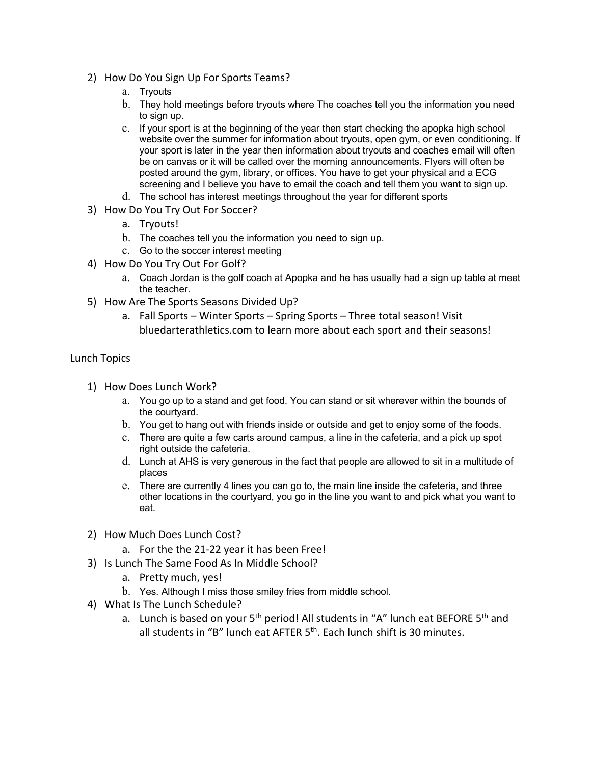- 2) How Do You Sign Up For Sports Teams?
	- a. Tryouts
	- b. They hold meetings before tryouts where The coaches tell you the information you need to sign up.
	- c. If your sport is at the beginning of the year then start checking the apopka high school website over the summer for information about tryouts, open gym, or even conditioning. If your sport is later in the year then information about tryouts and coaches email will often be on canvas or it will be called over the morning announcements. Flyers will often be posted around the gym, library, or offices. You have to get your physical and a ECG screening and I believe you have to email the coach and tell them you want to sign up.
	- d. The school has interest meetings throughout the year for different sports
- 3) How Do You Try Out For Soccer?
	- a. Tryouts!
	- b. The coaches tell you the information you need to sign up.
	- c. Go to the soccer interest meeting
- 4) How Do You Try Out For Golf?
	- a. Coach Jordan is the golf coach at Apopka and he has usually had a sign up table at meet the teacher.
- 5) How Are The Sports Seasons Divided Up?
	- a. Fall Sports Winter Sports Spring Sports Three total season! Visit bluedarterathletics.com to learn more about each sport and their seasons!

### Lunch Topics

- 1) How Does Lunch Work?
	- a. You go up to a stand and get food. You can stand or sit wherever within the bounds of the courtyard.
	- b. You get to hang out with friends inside or outside and get to enjoy some of the foods.
	- c. There are quite a few carts around campus, a line in the cafeteria, and a pick up spot right outside the cafeteria.
	- d. Lunch at AHS is very generous in the fact that people are allowed to sit in a multitude of places
	- e. There are currently 4 lines you can go to, the main line inside the cafeteria, and three other locations in the courtyard, you go in the line you want to and pick what you want to eat.
- 2) How Much Does Lunch Cost?
	- a. For the the 21-22 year it has been Free!
- 3) Is Lunch The Same Food As In Middle School?
	- a. Pretty much, yes!
	- b. Yes. Although I miss those smiley fries from middle school.
- 4) What Is The Lunch Schedule?
	- a. Lunch is based on your  $5<sup>th</sup>$  period! All students in "A" lunch eat BEFORE  $5<sup>th</sup>$  and all students in "B" lunch eat AFTER  $5<sup>th</sup>$ . Each lunch shift is 30 minutes.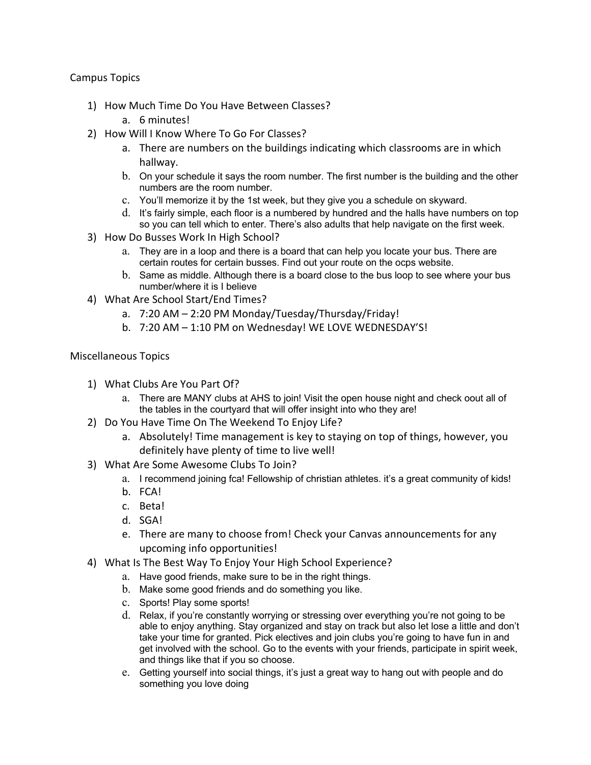Campus Topics

- 1) How Much Time Do You Have Between Classes?
	- a. 6 minutes!
- 2) How Will I Know Where To Go For Classes?
	- a. There are numbers on the buildings indicating which classrooms are in which hallway.
	- b. On your schedule it says the room number. The first number is the building and the other numbers are the room number.
	- c. You'll memorize it by the 1st week, but they give you a schedule on skyward.
	- d. It's fairly simple, each floor is a numbered by hundred and the halls have numbers on top so you can tell which to enter. There's also adults that help navigate on the first week.
- 3) How Do Busses Work In High School?
	- a. They are in a loop and there is a board that can help you locate your bus. There are certain routes for certain busses. Find out your route on the ocps website.
	- b. Same as middle. Although there is a board close to the bus loop to see where your bus number/where it is I believe
- 4) What Are School Start/End Times?
	- a. 7:20 AM 2:20 PM Monday/Tuesday/Thursday/Friday!
	- b. 7:20 AM 1:10 PM on Wednesday! WE LOVE WEDNESDAY'S!

### Miscellaneous Topics

- 1) What Clubs Are You Part Of?
	- a. There are MANY clubs at AHS to join! Visit the open house night and check oout all of the tables in the courtyard that will offer insight into who they are!
- 2) Do You Have Time On The Weekend To Enjoy Life?
	- a. Absolutely! Time management is key to staying on top of things, however, you definitely have plenty of time to live well!
- 3) What Are Some Awesome Clubs To Join?
	- a. I recommend joining fca! Fellowship of christian athletes. it's a great community of kids!
	- b. FCA!
	- c. Beta!
	- d. SGA!
	- e. There are many to choose from! Check your Canvas announcements for any upcoming info opportunities!
- 4) What Is The Best Way To Enjoy Your High School Experience?
	- a. Have good friends, make sure to be in the right things.
	- b. Make some good friends and do something you like.
	- c. Sports! Play some sports!
	- d. Relax, if you're constantly worrying or stressing over everything you're not going to be able to enjoy anything. Stay organized and stay on track but also let lose a little and don't take your time for granted. Pick electives and join clubs you're going to have fun in and get involved with the school. Go to the events with your friends, participate in spirit week, and things like that if you so choose.
	- e. Getting yourself into social things, it's just a great way to hang out with people and do something you love doing